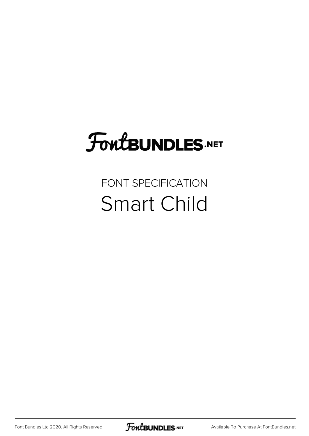# FoutBUNDLES.NET

## FONT SPECIFICATION Smart Child

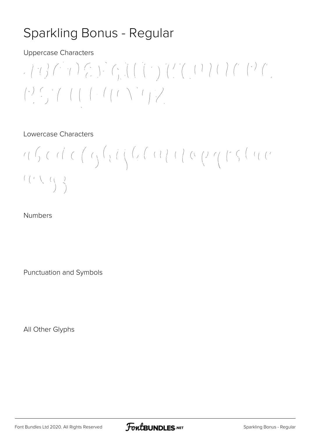## Sparkling Bonus - Regular

Uppercase Characters

 $\begin{array}{c} \begin{array}{c} \begin{array}{c} \begin{array}{c} \begin{array}{c} \end{array} \\ \end{array} & \begin{array}{c} \end{array} \\ \begin{array}{c} \end{array} \\ \end{array} \\ \end{array} \end{array} \end{array} \end{array} \begin{array}{c} \begin{array}{c} \begin{array}{c} \begin{array}{c} \end{array} \\ \end{array} & \begin{array}{c} \begin{array}{c} \end{array} \\ \end{array} & \begin{array}{c} \begin{array}{c} \end{array} \\ \end{array} & \begin{array}{c} \end{array} \end{array} \end{array} \begin{array}{c}$  $\begin{pmatrix} \lambda & \lambda & \lambda & \lambda \\ \lambda & \lambda & \lambda & \lambda \\ \lambda & \lambda & \lambda & \lambda \end{pmatrix} = \begin{pmatrix} \lambda & \lambda & \lambda & \lambda & \lambda \\ \lambda & \lambda & \lambda & \lambda & \lambda & \lambda \\ \lambda & \lambda & \lambda & \lambda & \lambda & \lambda \\ \lambda & \lambda & \lambda & \lambda & \lambda & \lambda \end{pmatrix} = \begin{pmatrix} \lambda & \lambda & \lambda & \lambda & \lambda & \lambda \\ \lambda & \lambda & \lambda & \lambda & \lambda & \lambda & \lambda \\ \lambda & \lambda & \lambda & \lambda & \lambda & \lambda & \lambda \\ \lambda & \lambda & \lambda & \lambda & \lambda & \lambda & \lambda \\ \lambda & \$ 

#### Lowercase Characters

 $\mathcal{C}(\mu,\nu,\rho) = \mathcal{C}(\mu,\rho,\rho) = \mathcal{C}(\mu,\rho,\rho) = \mathcal{C}(\mu,\rho,\rho) = \mathcal{C}(\mu,\rho,\rho) = \mathcal{C}(\mu,\rho,\rho) = \mathcal{C}(\mu,\rho,\rho) = \mathcal{C}(\mu,\rho,\rho) = \mathcal{C}(\mu,\rho,\rho) = \mathcal{C}(\mu,\rho,\rho) = \mathcal{C}(\mu,\rho,\rho) = \mathcal{C}(\mu,\rho,\rho) = \mathcal{C}(\mu,\rho,\rho) = \mathcal{C}(\mu,\rho,\rho) = \mathcal{C}(\mu,\rho,\rho) = \mathcal{C}(\mu,\rho$  $\begin{array}{c} \left(\begin{array}{cc} \ell & \ell \end{array}\right) & \left(\begin{array}{cc} \ell & \ell \end{array}\right) \\ \left(\begin{array}{cc} \ell & \ell \end{array}\right) & \left(\begin{array}{cc} \ell & \ell \end{array}\right) \\ \left(\begin{array}{cc} \ell & \ell \end{array}\right) & \left(\begin{array}{cc} \ell & \ell \end{array}\right) \\ \left(\begin{array}{cc} \ell & \ell \end{array}\right) & \left(\begin{array}{cc} \ell & \ell \end{array}\right) \\ \left(\begin{array}{cc} \ell & \ell \end{array}\right) & \left(\begin{array}{cc} \ell & \ell \$ 

#### Numbers

Punctuation and Symbols

All Other Glyphs

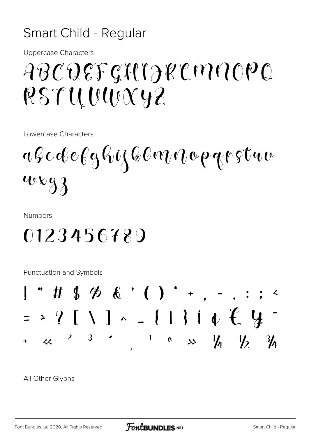### Smart Child - Regular

**Uppercase Characters** 

# ABCDEFGHIJKLMNOPQ RSTUWWW42

Lowercase Characters

afcdefghijklmnopgrstuu weyz

**Numbers** 

## 0123456789

**Punctuation and Symbols** 



All Other Glyphs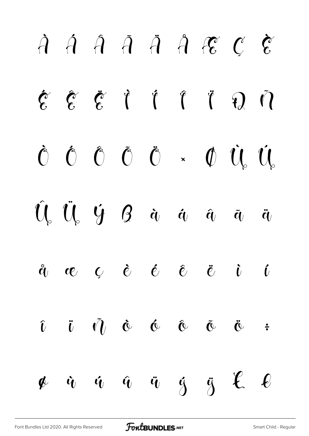# À Á Â Ã Ä Å Æ Ç È  $\zeta$   $\zeta$   $\zeta$  i i i  $\zeta$  i Ò Ó Ô Õ Ö × Ø Ù Ú  $\hat{U}_{s}$   $\hat{U}_{s}$   $\hat{Y}_{t}$   $\hat{g}$   $\hat{a}_{t}$   $\hat{a}_{t}$   $\hat{a}_{t}$   $\hat{a}_{t}$   $\hat{a}_{t}$ å æ ç è é ê ë ì í  $\hat{\mathbf{u}}$   $\hat{\mathbf{v}}$   $\hat{\mathbf{v}}$   $\hat{\mathbf{v}}$   $\hat{\mathbf{v}}$   $\hat{\mathbf{v}}$   $\hat{\mathbf{v}}$   $\hat{\mathbf{v}}$   $\hat{\mathbf{v}}$ ø ù ú û ü ý ÿ Ł ł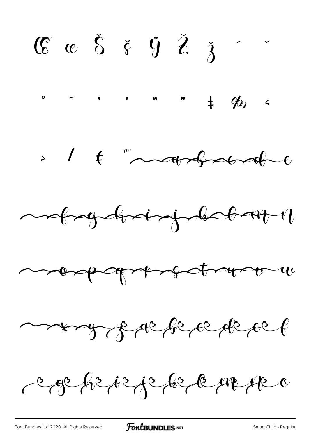$\mathbb{C}$   $\mathbb{C}$   $\delta$   $\delta$   $\ddot{\zeta}$   $\ddot{\zeta}$   $\delta$   $\ddot{\zeta}$  $\frac{1}{2}$  . . . . . . .  $\frac{1}{2}$ 









caphique de la marca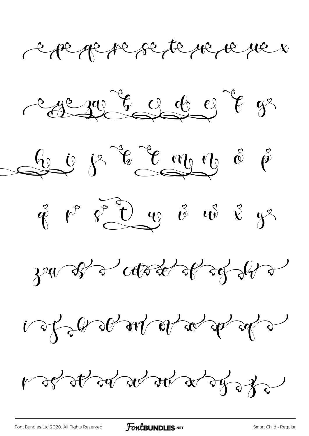carge pe se te ne ne ne n











ros stor stor a dyss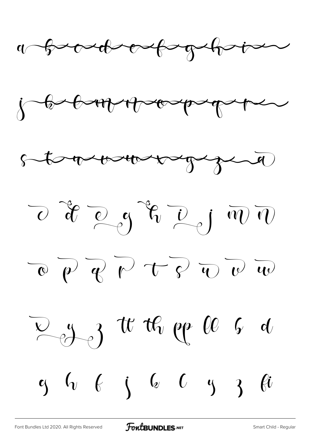











[Font Bundles Ltd 2020. All Rights Reserved](https://fontbundles.net/) **FoutBUNDLES.NET** [Smart Child - Regular](https://fontbundles.net/)